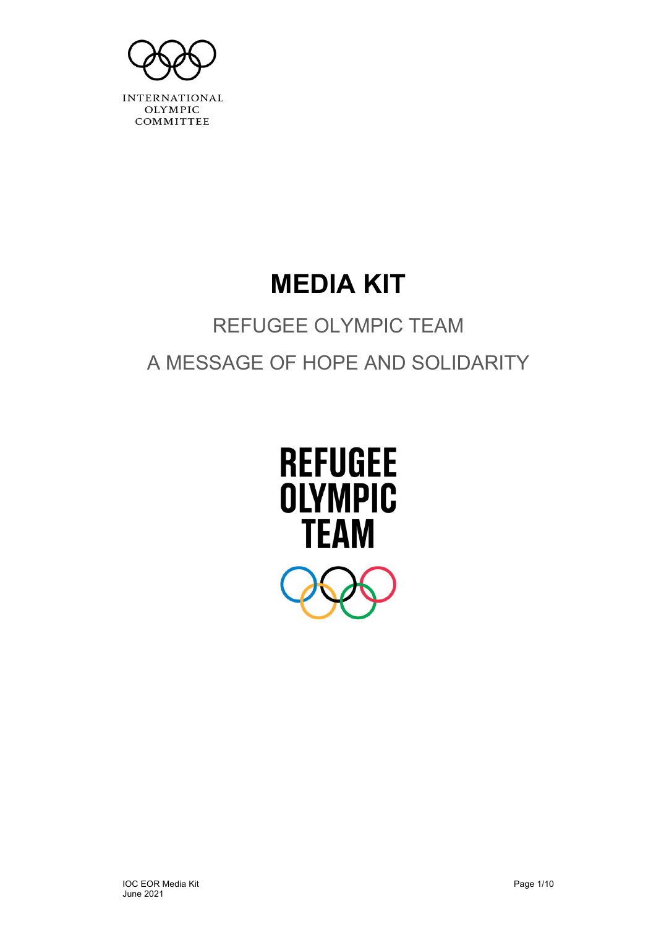

# **MEDIA KIT**

# REFUGEE OLYMPIC TEAM A MESSAGE OF HOPE AND SOLIDARITY

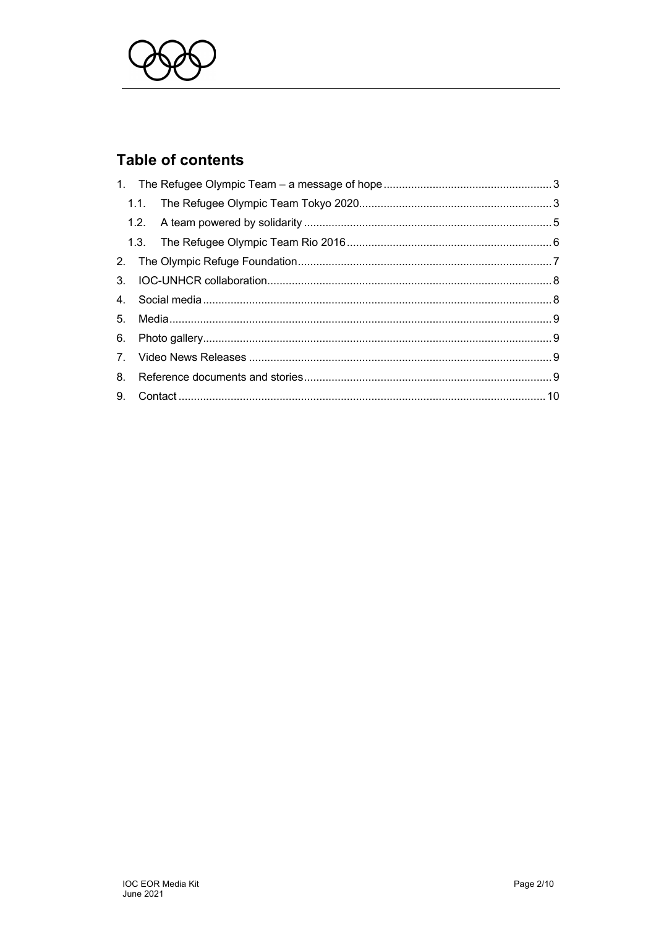

# **Table of contents**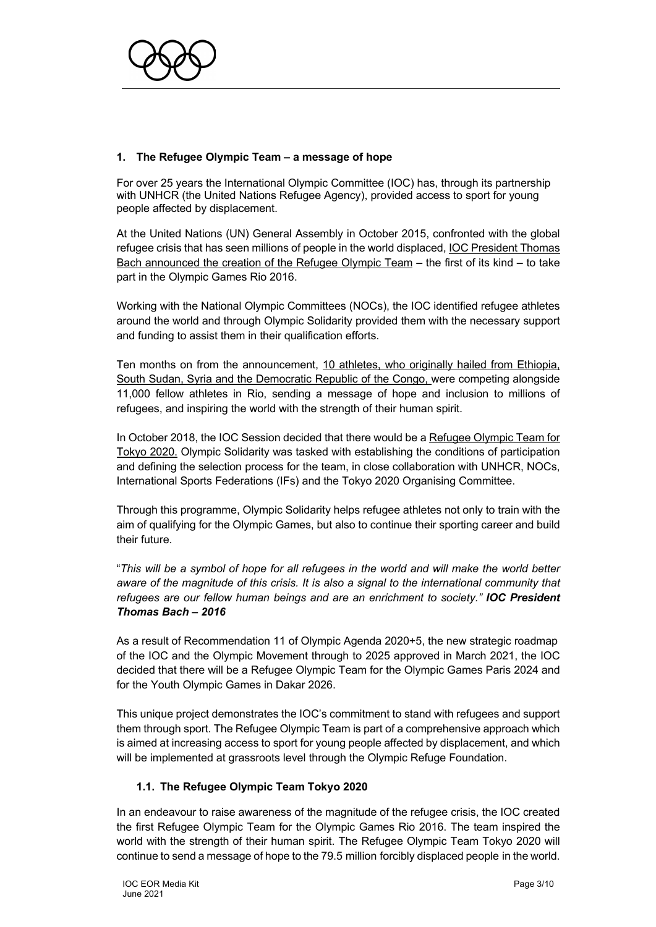

# **1. The Refugee Olympic Team – a message of hope**

For over 25 years the International Olympic Committee (IOC) has, through its partnership with UNHCR (the United Nations Refugee Agency), provided access to sport for young people affected by displacement.

At the United Nations (UN) General Assembly in October 2015, confronted with the global refugee crisis that has seen millions of people in the world displaced, IOC President Thomas Bach announced the creation of the Refugee Olympic Team – the first of its kind – to take part in the Olympic Games Rio 2016.

Working with the National Olympic Committees (NOCs), the IOC identified refugee athletes around the world and through Olympic Solidarity provided them with the necessary support and funding to assist them in their qualification efforts.

Ten months on from the announcement, 10 athletes, who originally hailed from Ethiopia, South Sudan, Syria and the Democratic Republic of the Congo, were competing alongside 11,000 fellow athletes in Rio, sending a message of hope and inclusion to millions of refugees, and inspiring the world with the strength of their human spirit.

In October 2018, the IOC Session decided that there would be a Refugee Olympic Team for Tokyo 2020. Olympic Solidarity was tasked with establishing the conditions of participation and defining the selection process for the team, in close collaboration with UNHCR, NOCs, International Sports Federations (IFs) and the Tokyo 2020 Organising Committee.

Through this programme, Olympic Solidarity helps refugee athletes not only to train with the aim of qualifying for the Olympic Games, but also to continue their sporting career and build their future.

"*This will be a symbol of hope for all refugees in the world and will make the world better aware of the magnitude of this crisis. It is also a signal to the international community that refugees are our fellow human beings and are an enrichment to society." IOC President Thomas Bach – 2016*

As a result of Recommendation 11 of Olympic Agenda 2020+5, the new strategic roadmap of the IOC and the Olympic Movement through to 2025 approved in March 2021, the IOC decided that there will be a Refugee Olympic Team for the Olympic Games Paris 2024 and for the Youth Olympic Games in Dakar 2026.

This unique project demonstrates the IOC's commitment to stand with refugees and support them through sport. The Refugee Olympic Team is part of a comprehensive approach which is aimed at increasing access to sport for young people affected by displacement, and which will be implemented at grassroots level through the Olympic Refuge Foundation.

#### **1.1. The Refugee Olympic Team Tokyo 2020**

In an endeavour to raise awareness of the magnitude of the refugee crisis, the IOC created the first Refugee Olympic Team for the Olympic Games Rio 2016. The team inspired the world with the strength of their human spirit. The Refugee Olympic Team Tokyo 2020 will continue to send a message of hope to the 79.5 million forcibly displaced people in the world.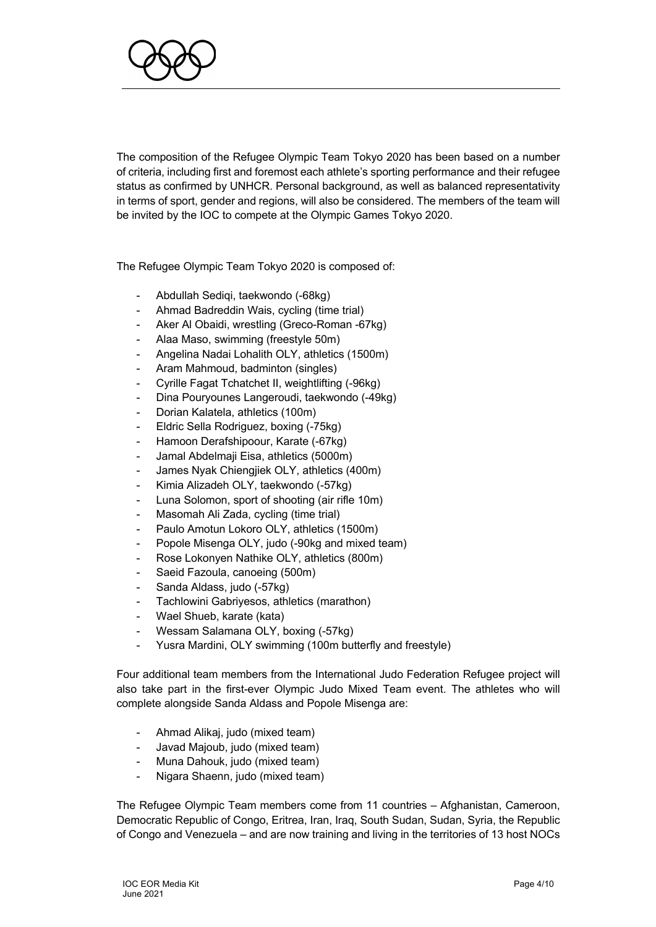

The composition of the Refugee Olympic Team Tokyo 2020 has been based on a number of criteria, including first and foremost each athlete's sporting performance and their refugee status as confirmed by UNHCR. Personal background, as well as balanced representativity in terms of sport, gender and regions, will also be considered. The members of the team will be invited by the IOC to compete at the Olympic Games Tokyo 2020.

The Refugee Olympic Team Tokyo 2020 is composed of:

- Abdullah Sediqi, taekwondo (-68kg)
- Ahmad Badreddin Wais, cycling (time trial)
- Aker Al Obaidi, wrestling (Greco-Roman -67kg)
- Alaa Maso, swimming (freestyle 50m)
- Angelina Nadai Lohalith OLY, athletics (1500m)
- Aram Mahmoud, badminton (singles)
- Cyrille Fagat Tchatchet II, weightlifting (-96kg)
- Dina Pouryounes Langeroudi, taekwondo (-49kg)
- Dorian Kalatela, athletics (100m)
- Eldric Sella Rodriguez, boxing (-75kg)
- Hamoon Derafshipoour, Karate (-67kg)
- Jamal Abdelmaji Eisa, athletics (5000m)
- James Nyak Chiengjiek OLY, athletics (400m)
- Kimia Alizadeh OLY, taekwondo (-57kg)
- Luna Solomon, sport of shooting (air rifle 10m)
- Masomah Ali Zada, cycling (time trial)
- Paulo Amotun Lokoro OLY, athletics (1500m)
- Popole Misenga OLY, judo (-90kg and mixed team)
- Rose Lokonyen Nathike OLY, athletics (800m)
- Saeid Fazoula, canoeing (500m)
- Sanda Aldass, judo (-57kg)
- Tachlowini Gabriyesos, athletics (marathon)
- Wael Shueb, karate (kata)
- Wessam Salamana OLY, boxing (-57kg)
- Yusra Mardini, OLY swimming (100m butterfly and freestyle)

Four additional team members from the International Judo Federation Refugee project will also take part in the first-ever Olympic Judo Mixed Team event. The athletes who will complete alongside Sanda Aldass and Popole Misenga are:

- Ahmad Alikaj, judo (mixed team)
- Javad Majoub, judo (mixed team)
- Muna Dahouk, judo (mixed team)
- Nigara Shaenn, judo (mixed team)

The Refugee Olympic Team members come from 11 countries – Afghanistan, Cameroon, Democratic Republic of Congo, Eritrea, Iran, Iraq, South Sudan, Sudan, Syria, the Republic of Congo and Venezuela – and are now training and living in the territories of 13 host NOCs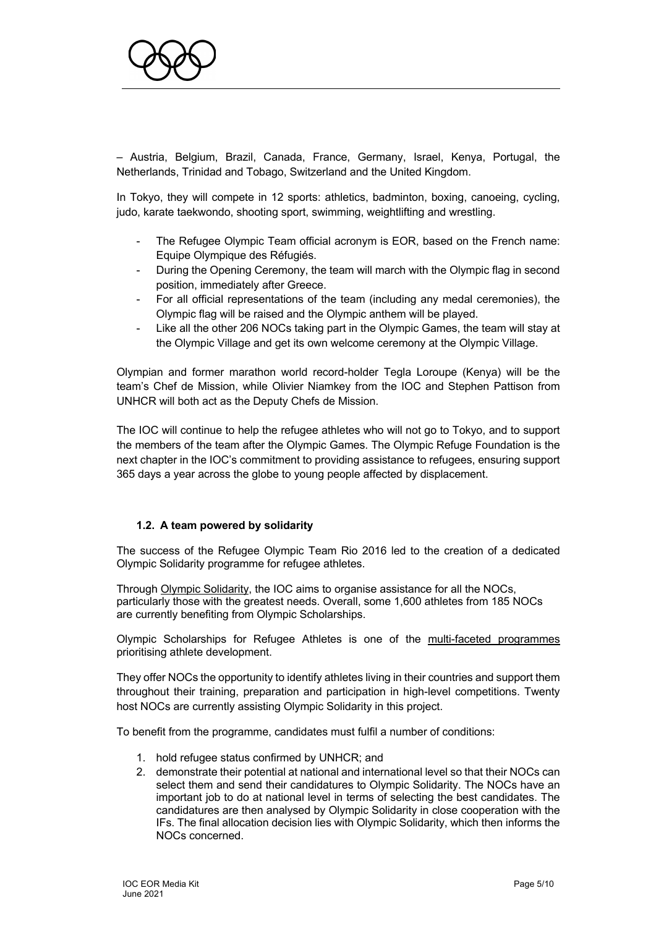

– Austria, Belgium, Brazil, Canada, France, Germany, Israel, Kenya, Portugal, the Netherlands, Trinidad and Tobago, Switzerland and the United Kingdom.

In Tokyo, they will compete in 12 sports: athletics, badminton, boxing, canoeing, cycling, judo, karate taekwondo, shooting sport, swimming, weightlifting and wrestling.

- The Refugee Olympic Team official acronym is EOR, based on the French name: Equipe Olympique des Réfugiés.
- During the Opening Ceremony, the team will march with the Olympic flag in second position, immediately after Greece.
- For all official representations of the team (including any medal ceremonies), the Olympic flag will be raised and the Olympic anthem will be played.
- Like all the other 206 NOCs taking part in the Olympic Games, the team will stay at the Olympic Village and get its own welcome ceremony at the Olympic Village.

Olympian and former marathon world record-holder Tegla Loroupe (Kenya) will be the team's Chef de Mission, while Olivier Niamkey from the IOC and Stephen Pattison from UNHCR will both act as the Deputy Chefs de Mission.

The IOC will continue to help the refugee athletes who will not go to Tokyo, and to support the members of the team after the Olympic Games. The Olympic Refuge Foundation is the next chapter in the IOC's commitment to providing assistance to refugees, ensuring support 365 days a year across the globe to young people affected by displacement.

#### **1.2. A team powered by solidarity**

The success of the Refugee Olympic Team Rio 2016 led to the creation of a dedicated Olympic Solidarity programme for refugee athletes.

Through Olympic Solidarity, the IOC aims to organise assistance for all the NOCs, particularly those with the greatest needs. Overall, some 1,600 athletes from 185 NOCs are currently benefiting from Olympic Scholarships.

Olympic Scholarships for Refugee Athletes is one of the multi-faceted programmes prioritising athlete development.

They offer NOCs the opportunity to identify athletes living in their countries and support them throughout their training, preparation and participation in high-level competitions. Twenty host NOCs are currently assisting Olympic Solidarity in this project.

To benefit from the programme, candidates must fulfil a number of conditions:

- 1. hold refugee status confirmed by UNHCR; and
- 2. demonstrate their potential at national and international level so that their NOCs can select them and send their candidatures to Olympic Solidarity. The NOCs have an important job to do at national level in terms of selecting the best candidates. The candidatures are then analysed by Olympic Solidarity in close cooperation with the IFs. The final allocation decision lies with Olympic Solidarity, which then informs the NOCs concerned.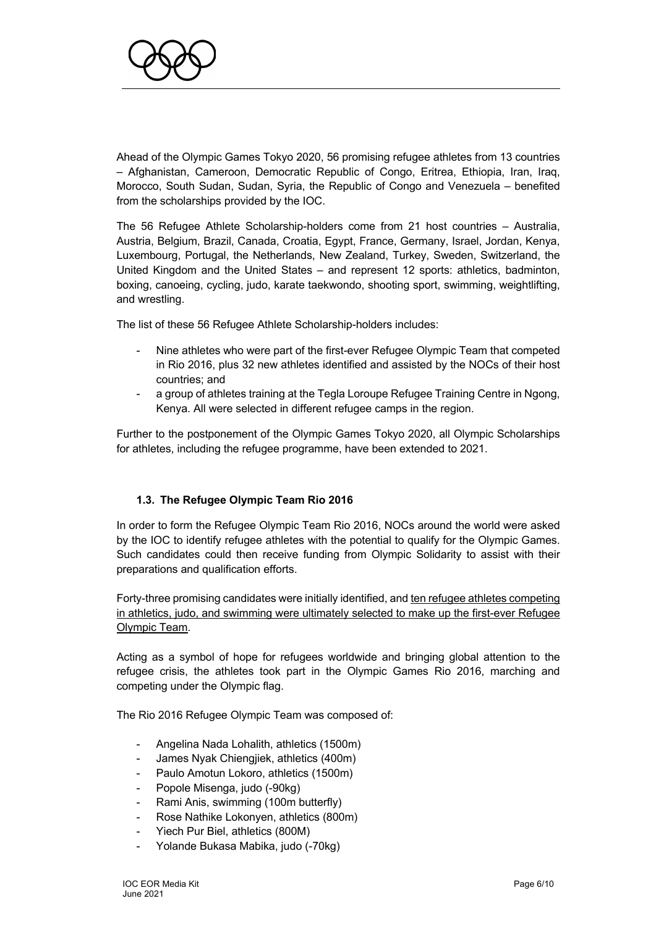

Ahead of the Olympic Games Tokyo 2020, 56 promising refugee athletes from 13 countries – Afghanistan, Cameroon, Democratic Republic of Congo, Eritrea, Ethiopia, Iran, Iraq, Morocco, South Sudan, Sudan, Syria, the Republic of Congo and Venezuela – benefited from the scholarships provided by the IOC.

The 56 Refugee Athlete Scholarship-holders come from 21 host countries – Australia, Austria, Belgium, Brazil, Canada, Croatia, Egypt, France, Germany, Israel, Jordan, Kenya, Luxembourg, Portugal, the Netherlands, New Zealand, Turkey, Sweden, Switzerland, the United Kingdom and the United States – and represent 12 sports: athletics, badminton, boxing, canoeing, cycling, judo, karate taekwondo, shooting sport, swimming, weightlifting, and wrestling.

The list of these 56 Refugee Athlete Scholarship-holders includes:

- Nine athletes who were part of the first-ever Refugee Olympic Team that competed in Rio 2016, plus 32 new athletes identified and assisted by the NOCs of their host countries; and
- a group of athletes training at the Tegla Loroupe Refugee Training Centre in Ngong, Kenya. All were selected in different refugee camps in the region.

Further to the postponement of the Olympic Games Tokyo 2020, all Olympic Scholarships for athletes, including the refugee programme, have been extended to 2021.

#### **1.3. The Refugee Olympic Team Rio 2016**

In order to form the Refugee Olympic Team Rio 2016, NOCs around the world were asked by the IOC to identify refugee athletes with the potential to qualify for the Olympic Games. Such candidates could then receive funding from Olympic Solidarity to assist with their preparations and qualification efforts.

Forty-three promising candidates were initially identified, and ten refugee athletes competing in athletics, judo, and swimming were ultimately selected to make up the first-ever Refugee Olympic Team.

Acting as a symbol of hope for refugees worldwide and bringing global attention to the refugee crisis, the athletes took part in the Olympic Games Rio 2016, marching and competing under the Olympic flag.

The Rio 2016 Refugee Olympic Team was composed of:

- Angelina Nada Lohalith, athletics (1500m)
- James Nyak Chiengjiek, athletics (400m)
- Paulo Amotun Lokoro, athletics (1500m)
- Popole Misenga, judo (-90kg)
- Rami Anis, swimming (100m butterfly)
- Rose Nathike Lokonyen, athletics (800m)
- Yiech Pur Biel, athletics (800M)
- Yolande Bukasa Mabika, judo (-70kg)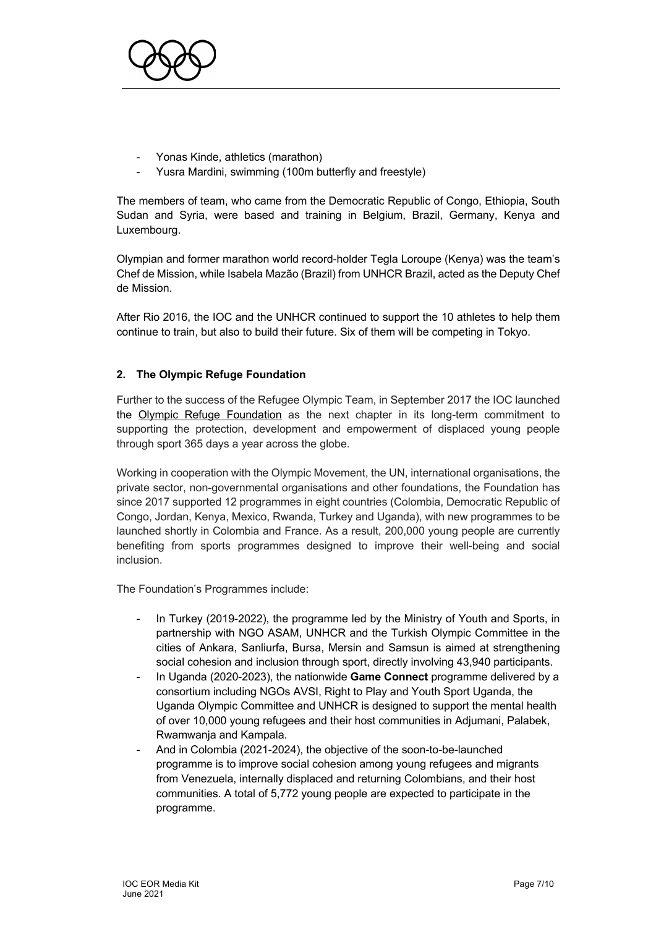

- Yonas Kinde, athletics (marathon)
- Yusra Mardini, swimming (100m butterfly and freestyle)

The members of team, who came from the Democratic Republic of Congo, Ethiopia, South Sudan and Syria, were based and training in Belgium, Brazil, Germany, Kenya and Luxembourg.

Olympian and former marathon world record-holder Tegla Loroupe (Kenya) was the team's Chef de Mission, while Isabela Mazão (Brazil) from UNHCR Brazil, acted as the Deputy Chef de Mission.

After Rio 2016, the IOC and the UNHCR continued to support the 10 athletes to help them continue to train, but also to build their future. Six of them will be competing in Tokyo.

# **2. The Olympic Refuge Foundation**

Further to the success of the Refugee Olympic Team, in September 2017 the IOC launched the Olympic Refuge Foundation as the next chapter in its long-term commitment to supporting the protection, development and empowerment of displaced young people through sport 365 days a year across the globe.

Working in cooperation with the Olympic Movement, the UN, international organisations, the private sector, non-governmental organisations and other foundations, the Foundation has since 2017 supported 12 programmes in eight countries (Colombia, Democratic Republic of Congo, Jordan, Kenya, Mexico, Rwanda, Turkey and Uganda), with new programmes to be launched shortly in Colombia and France. As a result, 200,000 young people are currently benefiting from sports programmes designed to improve their well-being and social inclusion.

The Foundation's Programmes include:

- In Turkey (2019-2022), the programme led by the Ministry of Youth and Sports, in partnership with NGO ASAM, UNHCR and the Turkish Olympic Committee in the cities of Ankara, Sanliurfa, Bursa, Mersin and Samsun is aimed at strengthening social cohesion and inclusion through sport, directly involving 43,940 participants.
- In Uganda (2020-2023), the nationwide **Game Connect** programme delivered by a consortium including NGOs AVSI, Right to Play and Youth Sport Uganda, the Uganda Olympic Committee and UNHCR is designed to support the mental health of over 10,000 young refugees and their host communities in Adjumani, Palabek, Rwamwanja and Kampala.
- And in Colombia (2021-2024), the objective of the soon-to-be-launched programme is to improve social cohesion among young refugees and migrants from Venezuela, internally displaced and returning Colombians, and their host communities. A total of 5,772 young people are expected to participate in the programme.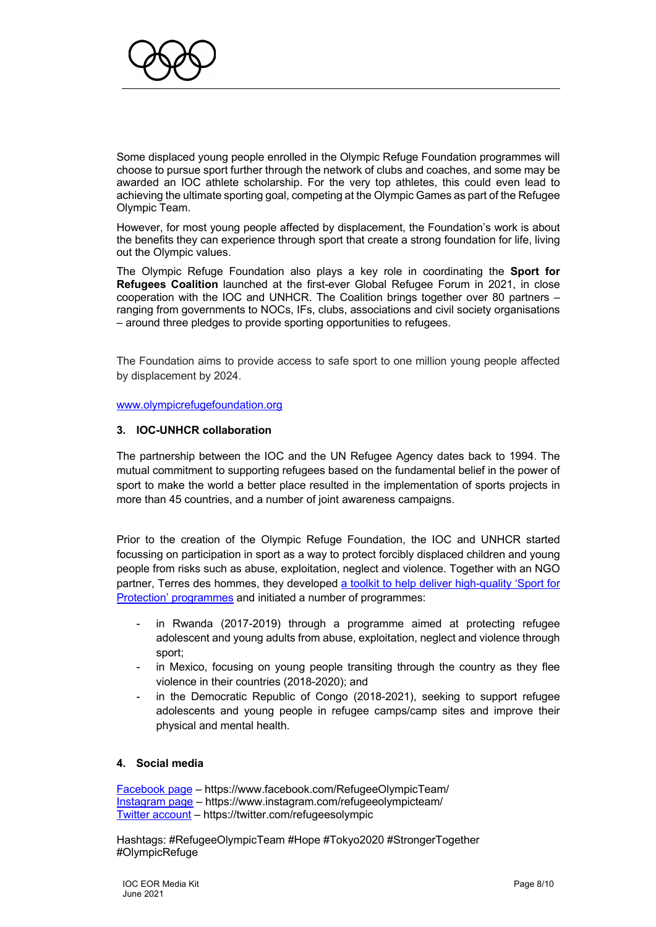

Some displaced young people enrolled in the Olympic Refuge Foundation programmes will choose to pursue sport further through the network of clubs and coaches, and some may be awarded an IOC athlete scholarship. For the very top athletes, this could even lead to achieving the ultimate sporting goal, competing at the Olympic Games as part of the Refugee Olympic Team.

However, for most young people affected by displacement, the Foundation's work is about the benefits they can experience through sport that create a strong foundation for life, living out the Olympic values.

The Olympic Refuge Foundation also plays a key role in coordinating the **Sport for Refugees Coalition** launched at the first-ever Global Refugee Forum in 2021, in close cooperation with the IOC and UNHCR. The Coalition brings together over 80 partners – ranging from governments to NOCs, IFs, clubs, associations and civil society organisations – around three pledges to provide sporting opportunities to refugees.

The Foundation aims to provide access to safe sport to one million young people affected by displacement by 2024.

www.olympicrefugefoundation.org

#### **3. IOC-UNHCR collaboration**

The partnership between the IOC and the UN Refugee Agency dates back to 1994. The mutual commitment to supporting refugees based on the fundamental belief in the power of sport to make the world a better place resulted in the implementation of sports projects in more than 45 countries, and a number of joint awareness campaigns.

Prior to the creation of the Olympic Refuge Foundation, the IOC and UNHCR started focussing on participation in sport as a way to protect forcibly displaced children and young people from risks such as abuse, exploitation, neglect and violence. Together with an NGO partner, Terres des hommes, they developed a toolkit to help deliver high-quality 'Sport for Protection' programmes and initiated a number of programmes:

- in Rwanda (2017-2019) through a programme aimed at protecting refugee adolescent and young adults from abuse, exploitation, neglect and violence through sport;
- in Mexico, focusing on young people transiting through the country as they flee violence in their countries (2018-2020); and
- in the Democratic Republic of Congo (2018-2021), seeking to support refugee adolescents and young people in refugee camps/camp sites and improve their physical and mental health.

#### **4. Social media**

Facebook page – https://www.facebook.com/RefugeeOlympicTeam/ Instagram page – https://www.instagram.com/refugeeolympicteam/ Twitter account – https://twitter.com/refugeesolympic

Hashtags: #RefugeeOlympicTeam #Hope #Tokyo2020 #StrongerTogether #OlympicRefuge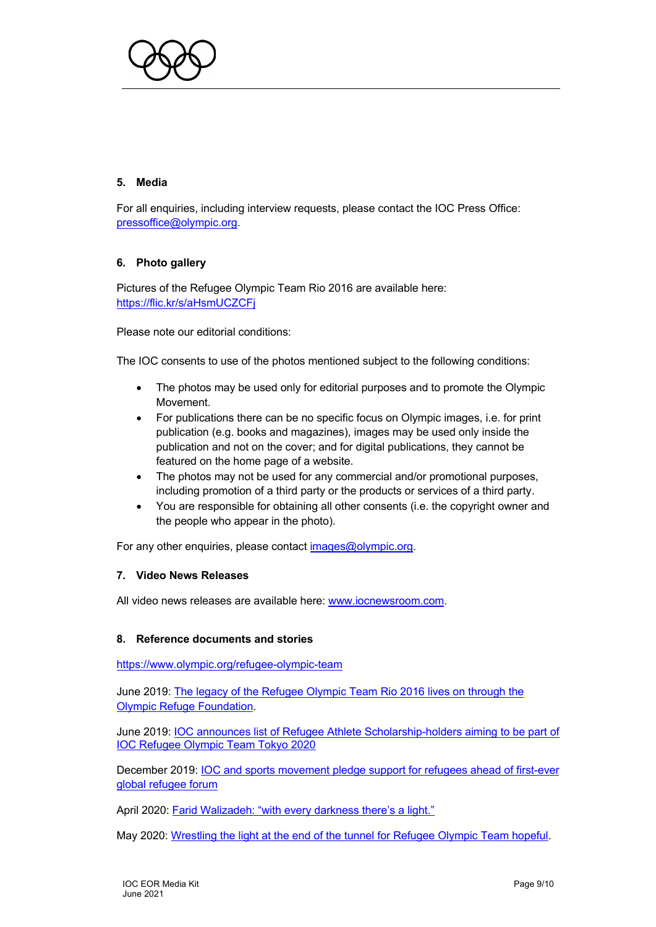

# **5. Media**

For all enquiries, including interview requests, please contact the IOC Press Office: pressoffice@olympic.org.

# **6. Photo gallery**

Pictures of the Refugee Olympic Team Rio 2016 are available here: https://flic.kr/s/aHsmUCZCFj

Please note our editorial conditions:

The IOC consents to use of the photos mentioned subject to the following conditions:

- The photos may be used only for editorial purposes and to promote the Olympic Movement.
- For publications there can be no specific focus on Olympic images, i.e. for print publication (e.g. books and magazines), images may be used only inside the publication and not on the cover; and for digital publications, they cannot be featured on the home page of a website.
- The photos may not be used for any commercial and/or promotional purposes, including promotion of a third party or the products or services of a third party.
- You are responsible for obtaining all other consents (i.e. the copyright owner and the people who appear in the photo).

For any other enquiries, please contact images@olympic.org.

#### **7. Video News Releases**

All video news releases are available here: www.iocnewsroom.com.

#### **8. Reference documents and stories**

https://www.olympic.org/refugee-olympic-team

June 2019: The legacy of the Refugee Olympic Team Rio 2016 lives on through the Olympic Refuge Foundation.

June 2019: IOC announces list of Refugee Athlete Scholarship-holders aiming to be part of IOC Refugee Olympic Team Tokyo 2020

December 2019: IOC and sports movement pledge support for refugees ahead of first-ever global refugee forum

April 2020: Farid Walizadeh: "with every darkness there's a light."

May 2020: Wrestling the light at the end of the tunnel for Refugee Olympic Team hopeful.